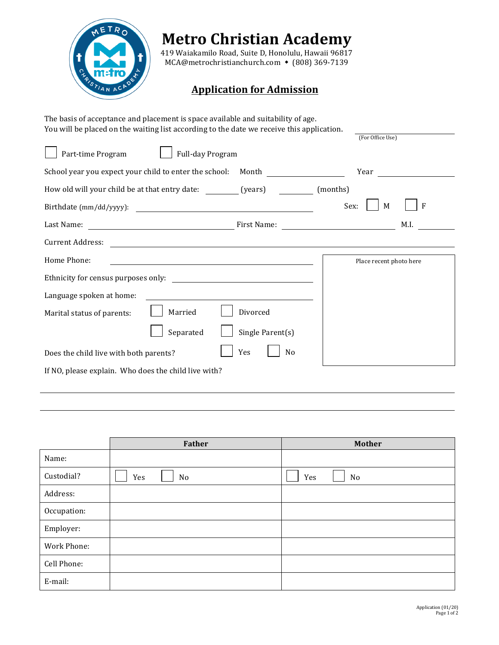

## **Metro Christian Academy**

419 Waiakamilo Road, Suite D, Honolulu, Hawaii 96817 MCA@metrochristianchurch.com • (808) 369-7139

## **Application for Admission**

| The basis of acceptance and placement is space available and suitability of age.<br>You will be placed on the waiting list according to the date we receive this application. |                                                                                                                       |                  |                                                                       |      |
|-------------------------------------------------------------------------------------------------------------------------------------------------------------------------------|-----------------------------------------------------------------------------------------------------------------------|------------------|-----------------------------------------------------------------------|------|
|                                                                                                                                                                               |                                                                                                                       |                  | (For Office Use)                                                      |      |
| Part-time Program                                                                                                                                                             | Full-day Program                                                                                                      |                  |                                                                       |      |
| School year you expect your child to enter the school:  Month                                                                                                                 |                                                                                                                       |                  | Year                                                                  |      |
| How old will your child be at that entry date: (years)                                                                                                                        |                                                                                                                       |                  | (months)                                                              |      |
|                                                                                                                                                                               |                                                                                                                       |                  | Sex:<br>M                                                             | F    |
| Last Name:                                                                                                                                                                    |                                                                                                                       | First Name:      | <u> 1989 - Johann Harry Barn, mars ar breist fan de Fryske kommer</u> | M.I. |
| <b>Current Address:</b>                                                                                                                                                       | <u> 1989 - Johann Stein, marwolaethau a bhann an t-Amhain ann an t-Amhain an t-Amhain an t-Amhain an t-Amhain an </u> |                  |                                                                       |      |
| Home Phone:                                                                                                                                                                   |                                                                                                                       |                  | Place recent photo here                                               |      |
|                                                                                                                                                                               |                                                                                                                       |                  |                                                                       |      |
| Language spoken at home:                                                                                                                                                      |                                                                                                                       |                  |                                                                       |      |
| Marital status of parents:                                                                                                                                                    | Married                                                                                                               | Divorced         |                                                                       |      |
|                                                                                                                                                                               | Separated                                                                                                             | Single Parent(s) |                                                                       |      |
| Does the child live with both parents?                                                                                                                                        |                                                                                                                       | Yes<br>No        |                                                                       |      |
|                                                                                                                                                                               |                                                                                                                       |                  |                                                                       |      |

|             | Father    | <b>Mother</b> |
|-------------|-----------|---------------|
| Name:       |           |               |
| Custodial?  | Yes<br>No | Yes<br>No     |
| Address:    |           |               |
| Occupation: |           |               |
| Employer:   |           |               |
| Work Phone: |           |               |
| Cell Phone: |           |               |
| E-mail:     |           |               |